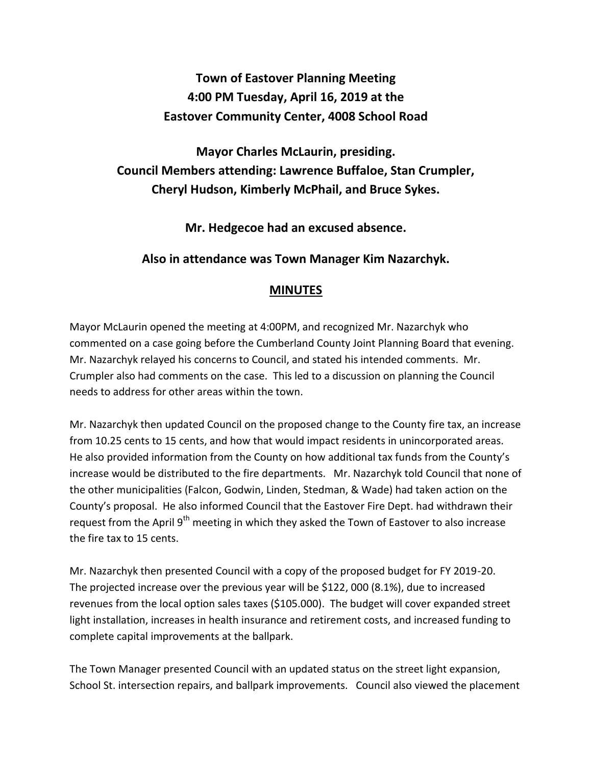## **Town of Eastover Planning Meeting 4:00 PM Tuesday, April 16, 2019 at the Eastover Community Center, 4008 School Road**

## **Mayor Charles McLaurin, presiding. Council Members attending: Lawrence Buffaloe, Stan Crumpler, Cheryl Hudson, Kimberly McPhail, and Bruce Sykes.**

**Mr. Hedgecoe had an excused absence.**

## **Also in attendance was Town Manager Kim Nazarchyk.**

## **MINUTES**

Mayor McLaurin opened the meeting at 4:00PM, and recognized Mr. Nazarchyk who commented on a case going before the Cumberland County Joint Planning Board that evening. Mr. Nazarchyk relayed his concerns to Council, and stated his intended comments. Mr. Crumpler also had comments on the case. This led to a discussion on planning the Council needs to address for other areas within the town.

Mr. Nazarchyk then updated Council on the proposed change to the County fire tax, an increase from 10.25 cents to 15 cents, and how that would impact residents in unincorporated areas. He also provided information from the County on how additional tax funds from the County's increase would be distributed to the fire departments. Mr. Nazarchyk told Council that none of the other municipalities (Falcon, Godwin, Linden, Stedman, & Wade) had taken action on the County's proposal. He also informed Council that the Eastover Fire Dept. had withdrawn their request from the April 9<sup>th</sup> meeting in which they asked the Town of Eastover to also increase the fire tax to 15 cents.

Mr. Nazarchyk then presented Council with a copy of the proposed budget for FY 2019-20. The projected increase over the previous year will be \$122, 000 (8.1%), due to increased revenues from the local option sales taxes (\$105.000). The budget will cover expanded street light installation, increases in health insurance and retirement costs, and increased funding to complete capital improvements at the ballpark.

The Town Manager presented Council with an updated status on the street light expansion, School St. intersection repairs, and ballpark improvements. Council also viewed the placement